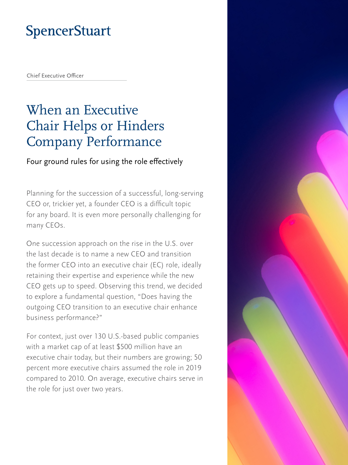# **SpencerStuart**

Chief Executive Officer

# When an Executive Chair Helps or Hinders Company Performance

### Four ground rules for using the role effectively

Planning for the succession of a successful, long-serving CEO or, trickier yet, a founder CEO is a difficult topic for any board. It is even more personally challenging for many CEOs.

One succession approach on the rise in the U.S. over the last decade is to name a new CEO and transition the former CEO into an executive chair (EC) role, ideally retaining their expertise and experience while the new CEO gets up to speed. Observing this trend, we decided to explore a fundamental question, "Does having the outgoing CEO transition to an executive chair enhance business performance?"

For context, just over 130 U.S.-based public companies with a market cap of at least \$500 million have an executive chair today, but their numbers are growing; 50 percent more executive chairs assumed the role in 2019 compared to 2010. On average, executive chairs serve in the role for just over two years.

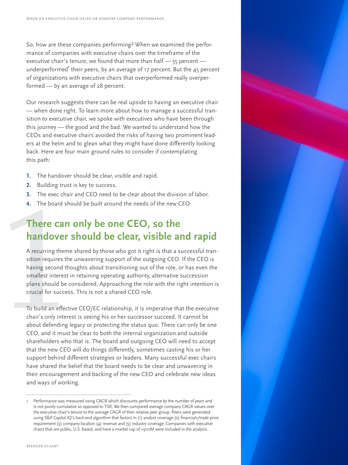So, how are these companies performing? When we examined the perfor mance of companies with executive chairs over the timeframe of the executive chair's tenure, we found that more than half - 55 percent underperformed' their peers, by an average of 17 percent. But the 45 percent of organizations with executive chairs that overperformed really overper formed — by an average of 28 percent.

Our research suggests there can be real upside to having an executive chair — when done right. To learn more about how to manage a successful tran sition to executive chair, we spoke with executives who have been through this journey — the good and the bad. We wanted to understand how the CEOs and executive chairs avoided the risks of having two prominent lead ers at the helm and to glean what they might have done differently looking back. Here are four main ground rules to consider if contemplating this path:

- **1.** The handover should be clear, visible and rapid.
- **2.** Building trust is key to success.
- **3.** The exec chair and CEO need to be clear about the division of labor.
- **4.** The board should be built around the needs of the new CEO.

## **There can only be one CEO, so the handover should be clear, visible and rapid**

A recurring theme shared by those who got it right is that a successful tran sition requires the unwavering support of the outgoing CEO. If the CEO is having second thoughts about transitioning out of the role, or has even the smallest interest in retaining operating authority, alternative succession plans should be considered. Approaching the role with the right intention is crucial for success. This is not a shared CEO role.

To build an effective CEO/EC relationship, it is imperative that the executive chair's only interest is seeing his or her successor succeed. It cannot be about defending legacy or protecting the status quo. There can only be one CEO, and it must be clear to both the internal organization and outside shareholders who that is. The board and outgoing CEO will need to accept that the new CEO will do things differently, sometimes casting his or her support behind different strategies or leaders. Many successful exec chairs have shared the belief that the board needs to be clear and unwavering in their encouragement and backing of the new CEO and celebrate new ideas and ways of working.



<sup>1</sup> Performance was measured using CAGR which discounts performance by the number of years and is not purely cumulative as opposed to TSR. We then compared average company CAGR values over the executive chair's tenure to the average CAGR of their relative peer group. Peers were generated using S&P Capital IQ's back-end algorithm that factors in (1) analyst coverage (2) financials/trade price requirement (3) company location (4) revenue and (5) industry coverage. Companies with executive chairs that are public, U.S. based, and have a market cap of +500M were included in the analysis.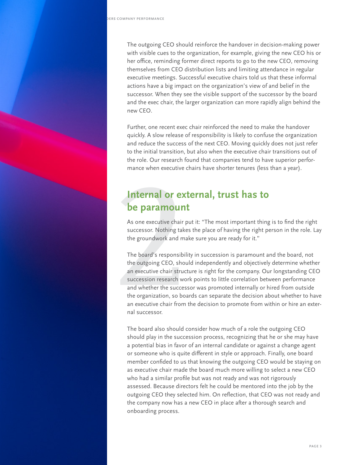The outgoing CEO should reinforce the handover in decision-making power with visible cues to the organization, for example, giving the new CEO his or her office, reminding former direct reports to go to the new CEO, removing themselves from CEO distribution lists and limiting attendance in regular executive meetings. Successful executive chairs told us that these informal actions have a big impact on the organization's view of and belief in the successor. When they see the visible support of the successor by the board and the exec chair, the larger organization can more rapidly align behind the new CEO.

Further, one recent exec chair reinforced the need to make the handover quickly. A slow release of responsibility is likely to confuse the organization and reduce the success of the next CEO. Moving quickly does not just refer to the initial transition, but also when the executive chair transitions out of the role. Our research found that companies tend to have superior performance when executive chairs have shorter tenures (less than a year).

## **Internal or external, trust has to be paramount**

As one executive chair put it: "The most important thing is to find the right successor. Nothing takes the place of having the right person in the role. Lay the groundwork and make sure you are ready for it."

**Internal or ex**<br> **be paramoun**<br>
As one executive chair p<br>
successor. Nothing take<br>
the groundwork and ma<br>
The board's responsibil<br>
the outgoing CEO, shou<br>
an executive chair struc<br>
succession research wo<br>
and whether the The board's responsibility in succession is paramount and the board, not the outgoing CEO, should independently and objectively determine whether an executive chair structure is right for the company. Our longstanding CEO succession research work points to little correlation between performance and whether the successor was promoted internally or hired from outside the organization, so boards can separate the decision about whether to have an executive chair from the decision to promote from within or hire an external successor.

The board also should consider how much of a role the outgoing CEO should play in the succession process, recognizing that he or she may have a potential bias in favor of an internal candidate or against a change agent or someone who is quite different in style or approach. Finally, one board member confided to us that knowing the outgoing CEO would be staying on as executive chair made the board much more willing to select a new CEO who had a similar profile but was not ready and was not rigorously assessed. Because directors felt he could be mentored into the job by the outgoing CEO they selected him. On reflection, that CEO was not ready and the company now has a new CEO in place after a thorough search and onboarding process.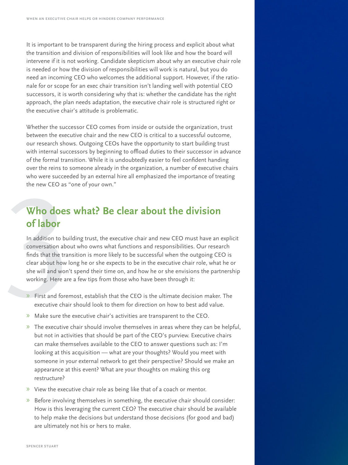It is important to be transparent during the hiring process and explicit about what the transition and division of responsibilities will look like and how the board will intervene if it is not working. Candidate skepticism about why an executive chair role is needed or how the division of responsibilities will work is natural, but you do need an incoming CEO who welcomes the additional support. However, if the rationale for or scope for an exec chair transition isn't landing well with potential CEO successors, it is worth considering why that is: whether the candidate has the right approach, the plan needs adaptation, the executive chair role is structured right or the executive chair's attitude is problematic.

Whether the successor CEO comes from inside or outside the organization, trust between the executive chair and the new CEO is critical to a successful outcome, our research shows. Outgoing CEOs have the opportunity to start building trust with internal successors by beginning to offload duties to their successor in advance of the formal transition. While it is undoubtedly easier to feel confident handing over the reins to someone already in the organization, a number of executive chairs who were succeeded by an external hire all emphasized the importance of treating the new CEO as "one of your own."

### **Who does what? Be clear about the division of labor**

the new CEO as "<br> **Who does**<br> **Of labor**<br>
In addition to buil<br>
conversation abou<br>
finds that the tran<br>
clear about how Ic<br>
she will and won't<br>
working. Here are<br> **Drame Sheware Sheep Sheep Sheep Sheep Sheep Sheep Sheep She** In addition to building trust, the executive chair and new CEO must have an explicit conversation about who owns what functions and responsibilities. Our research finds that the transition is more likely to be successful when the outgoing CEO is clear about how long he or she expects to be in the executive chair role, what he or she will and won't spend their time on, and how he or she envisions the partnership working. Here are a few tips from those who have been through it:

- » First and foremost, establish that the CEO is the ultimate decision maker. The executive chair should look to them for direction on how to best add value.
- » Make sure the executive chair's activities are transparent to the CEO.
- $\mathcal{P}$  The executive chair should involve themselves in areas where they can be helpful, but not in activities that should be part of the CEO's purview. Executive chairs can make themselves available to the CEO to answer questions such as: I'm looking at this acquisition — what are your thoughts? Would you meet with someone in your external network to get their perspective? Should we make an appearance at this event? What are your thoughts on making this org restructure?
- » View the executive chair role as being like that of a coach or mentor.
- » Before involving themselves in something, the executive chair should consider: How is this leveraging the current CEO? The executive chair should be available to help make the decisions but understand those decisions (for good and bad) are ultimately not his or hers to make.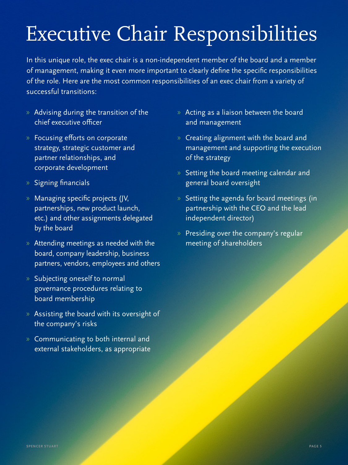# Executive Chair Responsibilities

In this unique role, the exec chair is a non-independent member of the board and a member of management, making it even more important to clearly define the specific responsibilities of the role. Here are the most common responsibilities of an exec chair from a variety of successful transitions:

- » Advising during the transition of the chief executive officer
- » Focusing efforts on corporate strategy, strategic customer and partner relationships, and corporate development
- » Signing financials
- » Managing specific projects (JV, partnerships, new product launch, etc.) and other assignments delegated by the board
- » Attending meetings as needed with the board, company leadership, business partners, vendors, employees and others
- » Subjecting oneself to normal governance procedures relating to board membership
- » Assisting the board with its oversight of the company's risks
- » Communicating to both internal and external stakeholders, as appropriate
- » Acting as a liaison between the board and management
- » Creating alignment with the board and management and supporting the execution of the strategy
- » Setting the board meeting calendar and general board oversight
- » Setting the agenda for board meetings (in partnership with the CEO and the lead independent director)
- » Presiding over the company's regular meeting of shareholders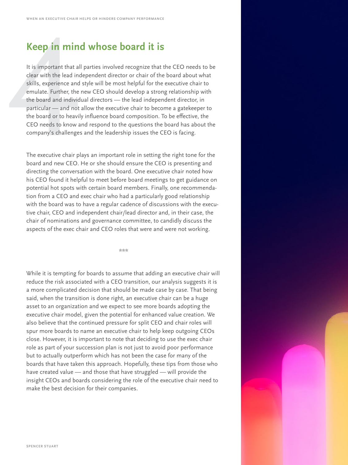## **Keep in mind whose board it is**

**Keep in min**<br>It is important that al<br>clear with the lead ind<br>skills, experience and<br>emulate. Further, the<br>the board and individ<br>particular — and not<br>the board or to heavil<br>CEO needs to know a<br>company's challenge<br>The execu It is important that all parties involved recognize that the CEO needs to be clear with the lead independent director or chair of the board about what skills, experience and style will be most helpful for the executive chair to emulate. Further, the new CEO should develop a strong relationship with the board and individual directors — the lead independent director, in particular — and not allow the executive chair to become a gatekeeper to the board or to heavily influence board composition. To be effective, the CEO needs to know and respond to the questions the board has about the company's challenges and the leadership issues the CEO is facing.

The executive chair plays an important role in setting the right tone for the board and new CEO. He or she should ensure the CEO is presenting and directing the conversation with the board. One executive chair noted how his CEO found it helpful to meet before board meetings to get guidance on potential hot spots with certain board members. Finally, one recommendation from a CEO and exec chair who had a particularly good relationship with the board was to have a regular cadence of discussions with the executive chair, CEO and independent chair/lead director and, in their case, the chair of nominations and governance committee, to candidly discuss the aspects of the exec chair and CEO roles that were and were not working.

\*\*\*

While it is tempting for boards to assume that adding an executive chair will reduce the risk associated with a CEO transition, our analysis suggests it is a more complicated decision that should be made case by case. That being said, when the transition is done right, an executive chair can be a huge asset to an organization and we expect to see more boards adopting the executive chair model, given the potential for enhanced value creation. We also believe that the continued pressure for split CEO and chair roles will spur more boards to name an executive chair to help keep outgoing CEOs close. However, it is important to note that deciding to use the exec chair role as part of your succession plan is not just to avoid poor performance but to actually outperform which has not been the case for many of the boards that have taken this approach. Hopefully, these tips from those who have created value — and those that have struggled — will provide the insight CEOs and boards considering the role of the executive chair need to make the best decision for their companies.

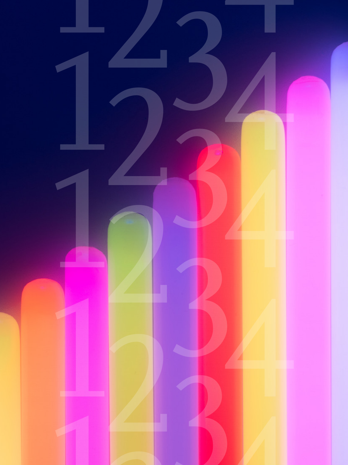